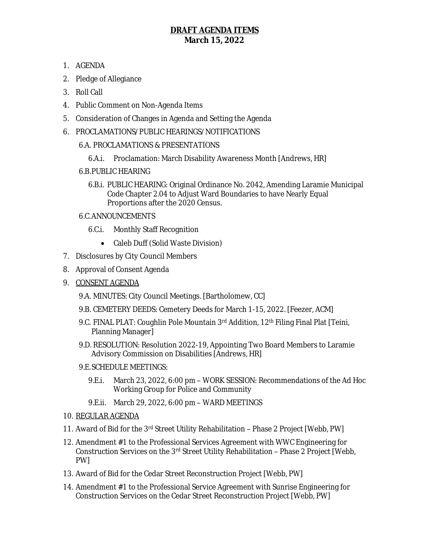## **DRAFT AGENDA ITEMS March 15, 2022**

- 1. AGENDA
- 2. Pledge of Allegiance
- 3. Roll Call
- 4. Public Comment on Non-Agenda Items
- 5. Consideration of Changes in Agenda and Setting the Agenda
- 6. PROCLAMATIONS/PUBLIC HEARINGS/NOTIFICATIONS
	- 6.A. PROCLAMATIONS & PRESENTATIONS
		- 6.A.i. Proclamation: March Disability Awareness Month [Andrews, HR]
	- 6.B.PUBLIC HEARING
		- 6.B.i. PUBLIC HEARING: Original Ordinance No. 2042, Amending Laramie Municipal Code Chapter 2.04 to Adjust Ward Boundaries to have Nearly Equal Proportions after the 2020 Census.

## 6.C.ANNOUNCEMENTS

- 6.C.i. Monthly Staff Recognition
	- Caleb Duff (Solid Waste Division)
- 7. Disclosures by City Council Members
- 8. Approval of Consent Agenda
- 9. CONSENT AGENDA
	- 9.A. MINUTES: City Council Meetings. [Bartholomew, CC]
	- 9.B. CEMETERY DEEDS: Cemetery Deeds for March 1-15, 2022. [Feezer, ACM]
	- 9.C. FINAL PLAT: Coughlin Pole Mountain 3rd Addition, 12<sup>th</sup> Filing Final Plat [Teini, Planning Manager]
	- 9.D. RESOLUTION: Resolution 2022-19, Appointing Two Board Members to Laramie Advisory Commission on Disabilities [Andrews, HR]
	- 9.E.SCHEDULE MEETINGS:
		- 9.E.i. March 23, 2022, 6:00 pm WORK SESSION: Recommendations of the Ad Hoc Working Group for Police and Community
		- 9.E.ii. March 29, 2022, 6:00 pm WARD MEETINGS
- 10. REGULAR AGENDA
- 11. Award of Bid for the 3rd Street Utility Rehabilitation Phase 2 Project [Webb, PW]
- 12. Amendment #1 to the Professional Services Agreement with WWC Engineering for Construction Services on the  $3<sup>rd</sup>$  Street Utility Rehabilitation – Phase 2 Project [Webb, PW]
- 13. Award of Bid for the Cedar Street Reconstruction Project [Webb, PW]
- 14. Amendment #1 to the Professional Service Agreement with Sunrise Engineering for Construction Services on the Cedar Street Reconstruction Project [Webb, PW]